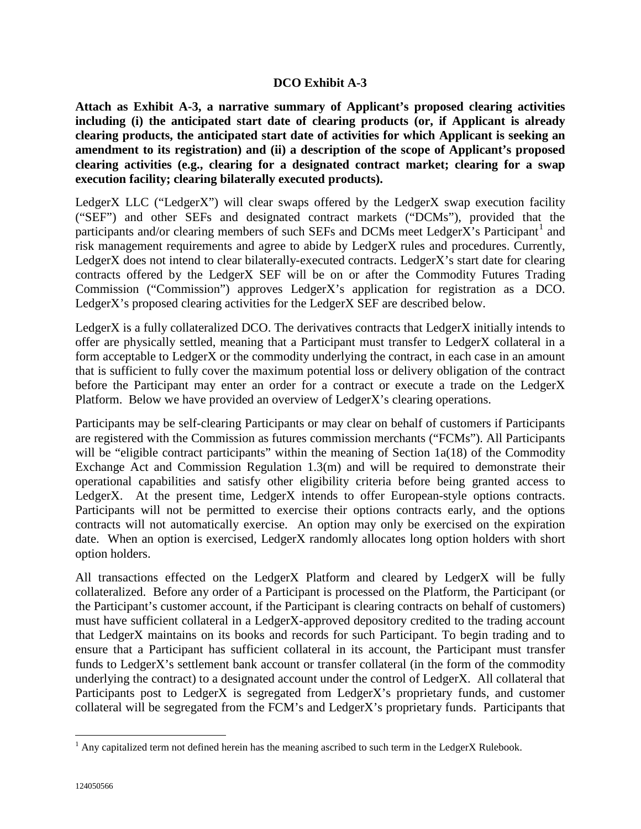## **DCO Exhibit A-3**

**Attach as Exhibit A-3, a narrative summary of Applicant's proposed clearing activities including (i) the anticipated start date of clearing products (or, if Applicant is already clearing products, the anticipated start date of activities for which Applicant is seeking an amendment to its registration) and (ii) a description of the scope of Applicant's proposed clearing activities (e.g., clearing for a designated contract market; clearing for a swap execution facility; clearing bilaterally executed products).**

LedgerX LLC ("LedgerX") will clear swaps offered by the LedgerX swap execution facility ("SEF") and other SEFs and designated contract markets ("DCMs"), provided that the participants and/or clearing members of such SEFs and DCMs meet LedgerX's Participant<sup>[1](#page-0-0)</sup> and risk management requirements and agree to abide by LedgerX rules and procedures. Currently, LedgerX does not intend to clear bilaterally-executed contracts. LedgerX's start date for clearing contracts offered by the LedgerX SEF will be on or after the Commodity Futures Trading Commission ("Commission") approves LedgerX's application for registration as a DCO. LedgerX's proposed clearing activities for the LedgerX SEF are described below.

LedgerX is a fully collateralized DCO. The derivatives contracts that LedgerX initially intends to offer are physically settled, meaning that a Participant must transfer to LedgerX collateral in a form acceptable to LedgerX or the commodity underlying the contract, in each case in an amount that is sufficient to fully cover the maximum potential loss or delivery obligation of the contract before the Participant may enter an order for a contract or execute a trade on the LedgerX Platform. Below we have provided an overview of LedgerX's clearing operations.

Participants may be self-clearing Participants or may clear on behalf of customers if Participants are registered with the Commission as futures commission merchants ("FCMs"). All Participants will be "eligible contract participants" within the meaning of Section 1a(18) of the Commodity Exchange Act and Commission Regulation 1.3(m) and will be required to demonstrate their operational capabilities and satisfy other eligibility criteria before being granted access to LedgerX. At the present time, LedgerX intends to offer European-style options contracts. Participants will not be permitted to exercise their options contracts early, and the options contracts will not automatically exercise. An option may only be exercised on the expiration date. When an option is exercised, LedgerX randomly allocates long option holders with short option holders.

All transactions effected on the LedgerX Platform and cleared by LedgerX will be fully collateralized. Before any order of a Participant is processed on the Platform, the Participant (or the Participant's customer account, if the Participant is clearing contracts on behalf of customers) must have sufficient collateral in a LedgerX-approved depository credited to the trading account that LedgerX maintains on its books and records for such Participant. To begin trading and to ensure that a Participant has sufficient collateral in its account, the Participant must transfer funds to LedgerX's settlement bank account or transfer collateral (in the form of the commodity underlying the contract) to a designated account under the control of LedgerX. All collateral that Participants post to LedgerX is segregated from LedgerX's proprietary funds, and customer collateral will be segregated from the FCM's and LedgerX's proprietary funds. Participants that

<span id="page-0-0"></span> $1$  Any capitalized term not defined herein has the meaning ascribed to such term in the LedgerX Rulebook.